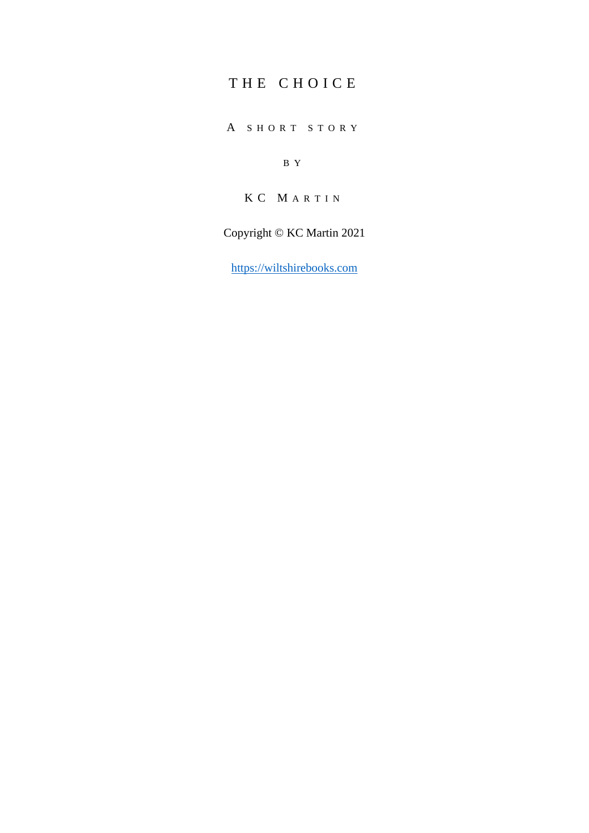## THE CHOICE

A S H O R T S T O R Y

B Y

K C M A R T I N

Copyright © KC Martin 2021

[https://wiltshirebooks.com](https://wiltshirebooks.com/)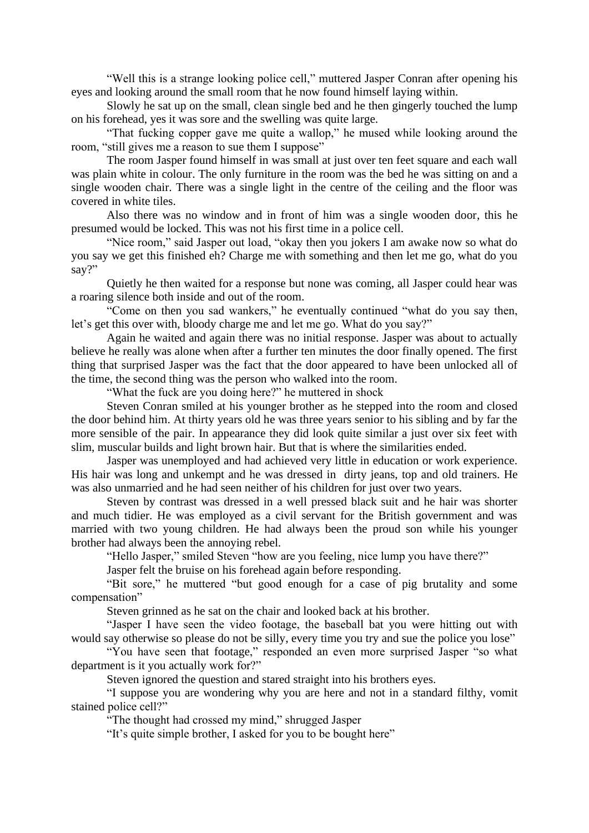"Well this is a strange looking police cell," muttered Jasper Conran after opening his eyes and looking around the small room that he now found himself laying within.

Slowly he sat up on the small, clean single bed and he then gingerly touched the lump on his forehead, yes it was sore and the swelling was quite large.

"That fucking copper gave me quite a wallop," he mused while looking around the room, "still gives me a reason to sue them I suppose"

The room Jasper found himself in was small at just over ten feet square and each wall was plain white in colour. The only furniture in the room was the bed he was sitting on and a single wooden chair. There was a single light in the centre of the ceiling and the floor was covered in white tiles.

Also there was no window and in front of him was a single wooden door, this he presumed would be locked. This was not his first time in a police cell.

"Nice room," said Jasper out load, "okay then you jokers I am awake now so what do you say we get this finished eh? Charge me with something and then let me go, what do you say?"

Quietly he then waited for a response but none was coming, all Jasper could hear was a roaring silence both inside and out of the room.

"Come on then you sad wankers," he eventually continued "what do you say then, let's get this over with, bloody charge me and let me go. What do you say?"

Again he waited and again there was no initial response. Jasper was about to actually believe he really was alone when after a further ten minutes the door finally opened. The first thing that surprised Jasper was the fact that the door appeared to have been unlocked all of the time, the second thing was the person who walked into the room.

"What the fuck are you doing here?" he muttered in shock

Steven Conran smiled at his younger brother as he stepped into the room and closed the door behind him. At thirty years old he was three years senior to his sibling and by far the more sensible of the pair. In appearance they did look quite similar a just over six feet with slim, muscular builds and light brown hair. But that is where the similarities ended.

Jasper was unemployed and had achieved very little in education or work experience. His hair was long and unkempt and he was dressed in dirty jeans, top and old trainers. He was also unmarried and he had seen neither of his children for just over two years.

Steven by contrast was dressed in a well pressed black suit and he hair was shorter and much tidier. He was employed as a civil servant for the British government and was married with two young children. He had always been the proud son while his younger brother had always been the annoying rebel.

"Hello Jasper," smiled Steven "how are you feeling, nice lump you have there?"

Jasper felt the bruise on his forehead again before responding.

"Bit sore," he muttered "but good enough for a case of pig brutality and some compensation"

Steven grinned as he sat on the chair and looked back at his brother.

"Jasper I have seen the video footage, the baseball bat you were hitting out with would say otherwise so please do not be silly, every time you try and sue the police you lose"

"You have seen that footage," responded an even more surprised Jasper "so what department is it you actually work for?"

Steven ignored the question and stared straight into his brothers eyes.

"I suppose you are wondering why you are here and not in a standard filthy, vomit stained police cell?"

"The thought had crossed my mind," shrugged Jasper

"It's quite simple brother, I asked for you to be bought here"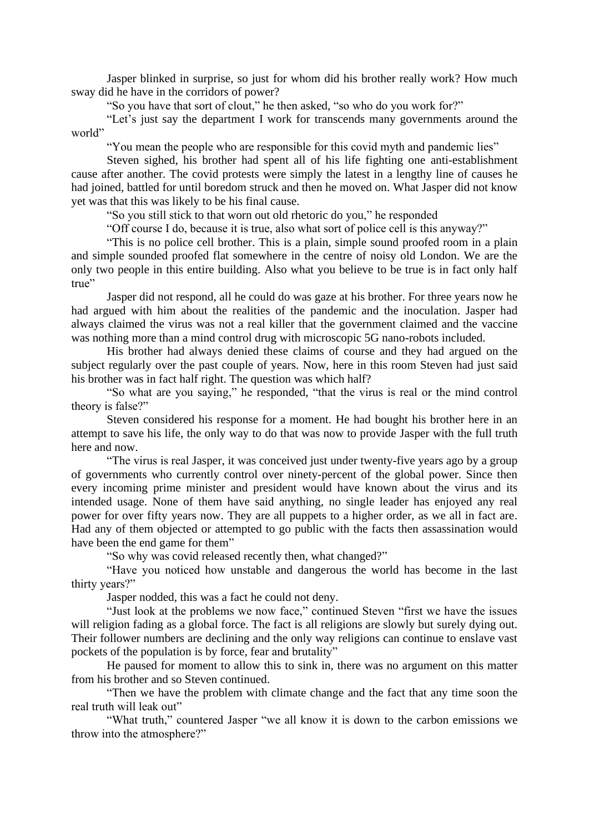Jasper blinked in surprise, so just for whom did his brother really work? How much sway did he have in the corridors of power?

"So you have that sort of clout," he then asked, "so who do you work for?"

"Let's just say the department I work for transcends many governments around the world"

"You mean the people who are responsible for this covid myth and pandemic lies"

Steven sighed, his brother had spent all of his life fighting one anti-establishment cause after another. The covid protests were simply the latest in a lengthy line of causes he had joined, battled for until boredom struck and then he moved on. What Jasper did not know yet was that this was likely to be his final cause.

"So you still stick to that worn out old rhetoric do you," he responded

"Off course I do, because it is true, also what sort of police cell is this anyway?"

"This is no police cell brother. This is a plain, simple sound proofed room in a plain and simple sounded proofed flat somewhere in the centre of noisy old London. We are the only two people in this entire building. Also what you believe to be true is in fact only half true"

Jasper did not respond, all he could do was gaze at his brother. For three years now he had argued with him about the realities of the pandemic and the inoculation. Jasper had always claimed the virus was not a real killer that the government claimed and the vaccine was nothing more than a mind control drug with microscopic 5G nano-robots included.

His brother had always denied these claims of course and they had argued on the subject regularly over the past couple of years. Now, here in this room Steven had just said his brother was in fact half right. The question was which half?

"So what are you saying," he responded, "that the virus is real or the mind control theory is false?"

Steven considered his response for a moment. He had bought his brother here in an attempt to save his life, the only way to do that was now to provide Jasper with the full truth here and now.

"The virus is real Jasper, it was conceived just under twenty-five years ago by a group of governments who currently control over ninety-percent of the global power. Since then every incoming prime minister and president would have known about the virus and its intended usage. None of them have said anything, no single leader has enjoyed any real power for over fifty years now. They are all puppets to a higher order, as we all in fact are. Had any of them objected or attempted to go public with the facts then assassination would have been the end game for them"

"So why was covid released recently then, what changed?"

"Have you noticed how unstable and dangerous the world has become in the last thirty years?"

Jasper nodded, this was a fact he could not deny.

"Just look at the problems we now face," continued Steven "first we have the issues will religion fading as a global force. The fact is all religions are slowly but surely dying out. Their follower numbers are declining and the only way religions can continue to enslave vast pockets of the population is by force, fear and brutality"

He paused for moment to allow this to sink in, there was no argument on this matter from his brother and so Steven continued.

"Then we have the problem with climate change and the fact that any time soon the real truth will leak out"

"What truth," countered Jasper "we all know it is down to the carbon emissions we throw into the atmosphere?"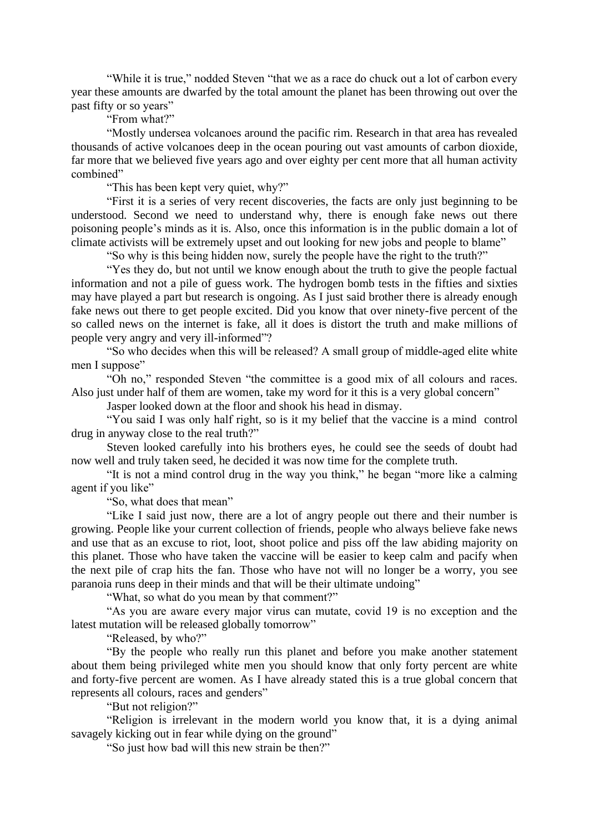"While it is true," nodded Steven "that we as a race do chuck out a lot of carbon every year these amounts are dwarfed by the total amount the planet has been throwing out over the past fifty or so years"

"From what?"

"Mostly undersea volcanoes around the pacific rim. Research in that area has revealed thousands of active volcanoes deep in the ocean pouring out vast amounts of carbon dioxide, far more that we believed five years ago and over eighty per cent more that all human activity combined"

"This has been kept very quiet, why?"

"First it is a series of very recent discoveries, the facts are only just beginning to be understood. Second we need to understand why, there is enough fake news out there poisoning people's minds as it is. Also, once this information is in the public domain a lot of climate activists will be extremely upset and out looking for new jobs and people to blame"

"So why is this being hidden now, surely the people have the right to the truth?"

"Yes they do, but not until we know enough about the truth to give the people factual information and not a pile of guess work. The hydrogen bomb tests in the fifties and sixties may have played a part but research is ongoing. As I just said brother there is already enough fake news out there to get people excited. Did you know that over ninety-five percent of the so called news on the internet is fake, all it does is distort the truth and make millions of people very angry and very ill-informed"?

"So who decides when this will be released? A small group of middle-aged elite white men I suppose"

"Oh no," responded Steven "the committee is a good mix of all colours and races. Also just under half of them are women, take my word for it this is a very global concern"

Jasper looked down at the floor and shook his head in dismay.

"You said I was only half right, so is it my belief that the vaccine is a mind control drug in anyway close to the real truth?"

Steven looked carefully into his brothers eyes, he could see the seeds of doubt had now well and truly taken seed, he decided it was now time for the complete truth.

"It is not a mind control drug in the way you think," he began "more like a calming agent if you like"

"So, what does that mean"

"Like I said just now, there are a lot of angry people out there and their number is growing. People like your current collection of friends, people who always believe fake news and use that as an excuse to riot, loot, shoot police and piss off the law abiding majority on this planet. Those who have taken the vaccine will be easier to keep calm and pacify when the next pile of crap hits the fan. Those who have not will no longer be a worry, you see paranoia runs deep in their minds and that will be their ultimate undoing"

"What, so what do you mean by that comment?"

"As you are aware every major virus can mutate, covid 19 is no exception and the latest mutation will be released globally tomorrow"

"Released, by who?"

"By the people who really run this planet and before you make another statement about them being privileged white men you should know that only forty percent are white and forty-five percent are women. As I have already stated this is a true global concern that represents all colours, races and genders"

"But not religion?"

"Religion is irrelevant in the modern world you know that, it is a dying animal savagely kicking out in fear while dying on the ground"

"So just how bad will this new strain be then?"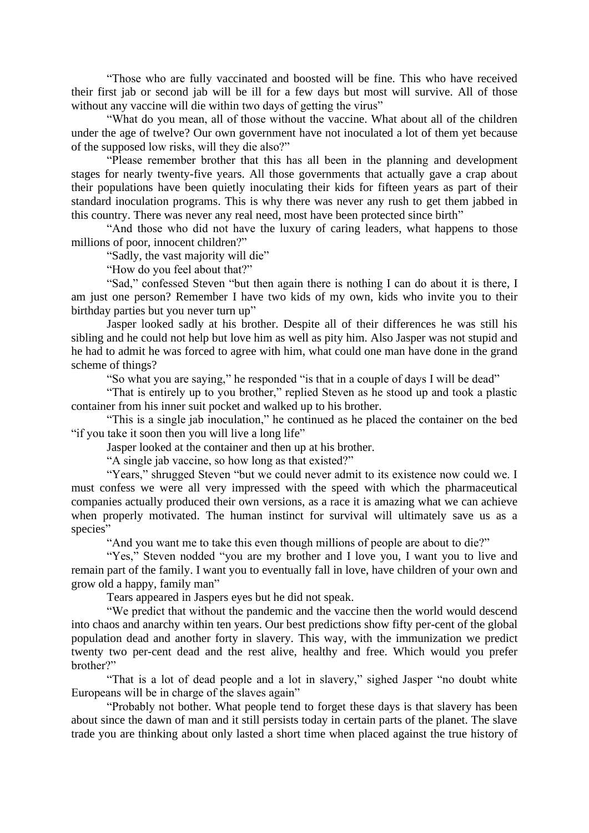"Those who are fully vaccinated and boosted will be fine. This who have received their first jab or second jab will be ill for a few days but most will survive. All of those without any vaccine will die within two days of getting the virus"

"What do you mean, all of those without the vaccine. What about all of the children under the age of twelve? Our own government have not inoculated a lot of them yet because of the supposed low risks, will they die also?"

"Please remember brother that this has all been in the planning and development stages for nearly twenty-five years. All those governments that actually gave a crap about their populations have been quietly inoculating their kids for fifteen years as part of their standard inoculation programs. This is why there was never any rush to get them jabbed in this country. There was never any real need, most have been protected since birth"

"And those who did not have the luxury of caring leaders, what happens to those millions of poor, innocent children?"

"Sadly, the vast majority will die"

"How do you feel about that?"

"Sad," confessed Steven "but then again there is nothing I can do about it is there, I am just one person? Remember I have two kids of my own, kids who invite you to their birthday parties but you never turn up"

Jasper looked sadly at his brother. Despite all of their differences he was still his sibling and he could not help but love him as well as pity him. Also Jasper was not stupid and he had to admit he was forced to agree with him, what could one man have done in the grand scheme of things?

"So what you are saying," he responded "is that in a couple of days I will be dead"

"That is entirely up to you brother," replied Steven as he stood up and took a plastic container from his inner suit pocket and walked up to his brother.

"This is a single jab inoculation," he continued as he placed the container on the bed "if you take it soon then you will live a long life"

Jasper looked at the container and then up at his brother.

"A single jab vaccine, so how long as that existed?"

"Years," shrugged Steven "but we could never admit to its existence now could we. I must confess we were all very impressed with the speed with which the pharmaceutical companies actually produced their own versions, as a race it is amazing what we can achieve when properly motivated. The human instinct for survival will ultimately save us as a species"

"And you want me to take this even though millions of people are about to die?"

"Yes," Steven nodded "you are my brother and I love you, I want you to live and remain part of the family. I want you to eventually fall in love, have children of your own and grow old a happy, family man"

Tears appeared in Jaspers eyes but he did not speak.

"We predict that without the pandemic and the vaccine then the world would descend into chaos and anarchy within ten years. Our best predictions show fifty per-cent of the global population dead and another forty in slavery. This way, with the immunization we predict twenty two per-cent dead and the rest alive, healthy and free. Which would you prefer brother?"

"That is a lot of dead people and a lot in slavery," sighed Jasper "no doubt white Europeans will be in charge of the slaves again"

"Probably not bother. What people tend to forget these days is that slavery has been about since the dawn of man and it still persists today in certain parts of the planet. The slave trade you are thinking about only lasted a short time when placed against the true history of